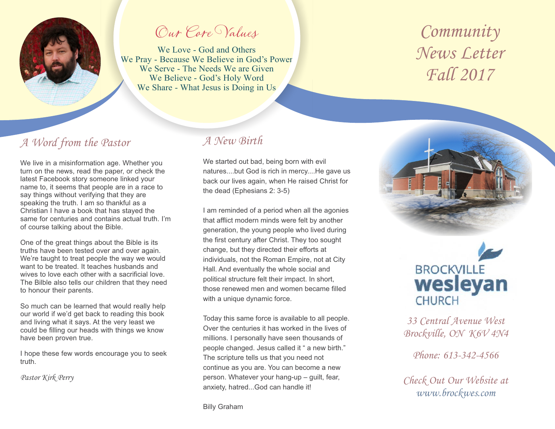

Our Core Values

We Love - God and Others We Pray - Because We Believe in God's Power We Serve - The Needs We are Given We Believe - God's Holy Word We Share - What Jesus is Doing in Us

# *Community News Letter Fall 2017*

### *A Word from the Pastor*

We live in a misinformation age. Whether you turn on the news, read the paper, or check the latest Facebook story someone linked your name to, it seems that people are in a race to say things without verifying that they are speaking the truth. I am so thankful as a Christian I have a book that has stayed the same for centuries and contains actual truth. I'm of course talking about the Bible.

One of the great things about the Bible is its truths have been tested over and over again. We're taught to treat people the way we would want to be treated. It teaches husbands and wives to love each other with a sacrificial love. The Bilble also tells our children that they need to honour their parents.

So much can be learned that would really help our world if we'd get back to reading this book and living what it says. At the very least we could be filling our heads with things we know have been proven true.

I hope these few words encourage you to seek truth.

*Pastor Kirk Perry*

### *A New Birth*

We started out bad, being born with evil natures....but God is rich in mercy....He gave us back our lives again, when He raised Christ for the dead (Ephesians 2: 3-5)

I am reminded of a period when all the agonies that afflict modern minds were felt by another generation, the young people who lived during the first century after Christ. They too sought change, but they directed their efforts at individuals, not the Roman Empire, not at City Hall. And eventually the whole social and political structure felt their impact. In short, those renewed men and women became filled with a unique dynamic force.

Today this same force is available to all people. Over the centuries it has worked in the lives of millions. I personally have seen thousands of people changed. Jesus called it " a new birth." The scripture tells us that you need not continue as you are. You can become a new person. Whatever your hang-up – guilt, fear, anxiety, hatred...God can handle it!



*33 Central Avenue West Brockville, ON K6V 4N4*

*Phone: 613-342-4566*

*Check Out Our Website at www.brockwes.com*